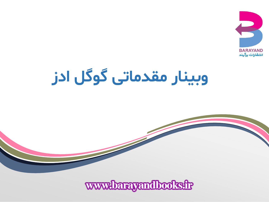

# **وبینار مقدماتی گوگل ادز**

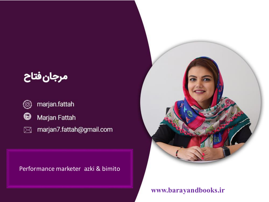# مرجان فتاح

- $(\textcircled{\small{\textcirc}}$
- $\bf \bm \Theta$ Marjan Fattah
- marjan7.fattah@gmail.com  $\boxtimes$

Performance marketer azki & bimito

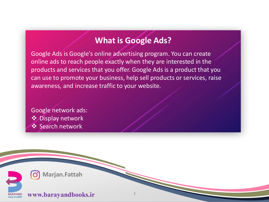## **What is Google Ads?**

Google Ads is Google's online advertising program. You can create online ads to reach people exactly when they are interested in the products and services that you offer. Google Ads is a product that you can use to promote your business, help sell products or services, raise awareness, and increase traffic to your website.

Google network ads: Display network **❖ Search network** 



**Marjan.Fattah**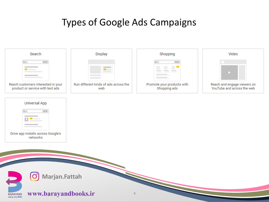# Types of Google Ads Campaigns

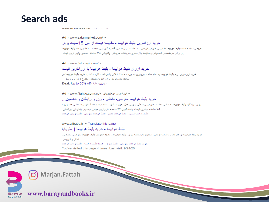## **Search ads**

حريد بينظ فرابينه - Ocarum motoau ror

#### $Ad$  · www.safarmarket.com/ $\blacktriangleright$

خر بد از ز انتر بن بلیط هو اییما - مقایسه قیمت از ایین 15سایت بر تر

**خرید** و مقایسه قیمت **بلیط هواپیما** داخلی و خارجی از بین صد ها سایت و تا فرودگاه رایگان برو. قیمت صدها فروشنده **بلیط هواپیما** ر و ابرای هر مقصدی که میخوای مقایسه واز دیترین فروشنده خریدکن. بشتیانی 24 ساعته، تصمین پایین ترین قیمت.

#### Ad · www.flvtodavir.com/ +

#### خر بد ار ز ان بلیط هو ابیما - بلیط هو ابیما با ار ز انتر بن قیمت

**خرید ارزانترین ترخ بلیط هواپیما** به تمام مقامند بروازی بصورت ۱۰۰٪ آنلاین با برداخت کارت شتاب ِ **خرید بلیط هواپیما** در سابت فلای تودی با ارزانترین قیمت و منتوع ترین بروازهای... Deal: Up to 50% off بهترين تخفيف

#### \* ارزانترین ترخ/برواز حارم/Ad · www.flightio.com

#### خر بد بليط هو اييما خار جي- داخلي - راز را و را بگان و اتضمين...

رزرو رایگان **بلیط هواپیما** به نمامی مقاصد خارجی و داخلی، رزرو هتل، **خرید** با کارت شتاب استرداد آنلاین و بشتیانی همه روزه .<br>24 ساعته, پھرين قيمت, پاسخگويے, ٢۴ ساعته, قوو<sub>ا</sub>ئرين موتور, جستجو, بشتيانے, بينالمللے, تلاط هواندما مشهد - تلاط هواندما کنش - تلاط هواندما خار حی - تلاط از زان هواندما

#### www.alibaba.ir = Translate this page

#### بلیط هو اینما – خراید بلیط هو اینما | حلے بابا

.<br>هر**ید بلیط هواپیما** از علی بابا : با سابقه ترین و ممتر ترین سامانه رزرو **بلیط هواپیما و هرید** اینترنتی **بلیط هواپیما** جارتر و سیستمی، قطار والتوبوس خريد بليط هوابيما خارجي - بليط چارش - قيمت بليط هواپيما - بليط ارزان هواپيما You've visited this page 4 times. Last visit: 9/24/20

Marjan.Fattah

**BARAYAND** انتشارات برآيند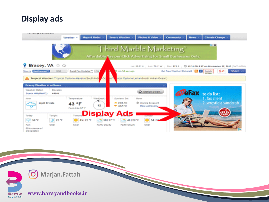## **Display ads**



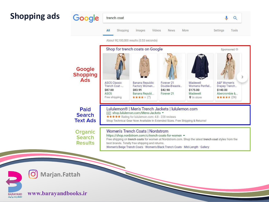## **Shopping ads**





**Marjan.Fattah** O,

**www.barayandbooks.ir**

**BARAYAND** انتشارات برآیند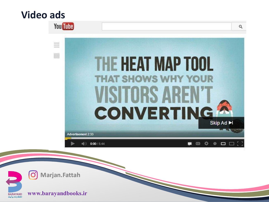# **Video ads**



 $\left[ \bigcirc \right]$ **Marjan.Fattah**

**BARAYAND** انتشارات برآيند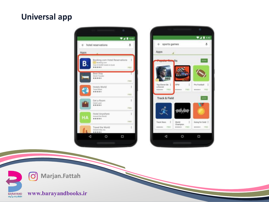## **Universal app**





**Marjan.Fattah**

BARAYAND<br>انتشارات برآیند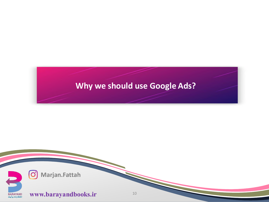## **Why we should use Google Ads?**

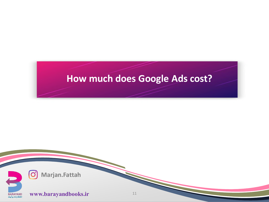# **How much does Google Ads cost?**

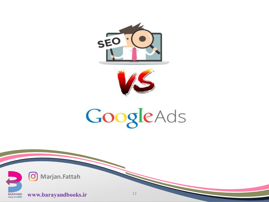



# GoogleAds

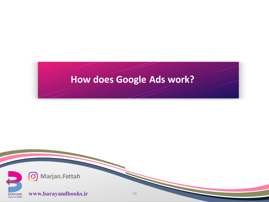# **How does Google Ads work?**

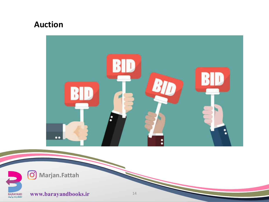## **Auction**



O Marjan.Fattah

 $\blacktriangleright$ 

BARAYAND<br>انتشارات برآیند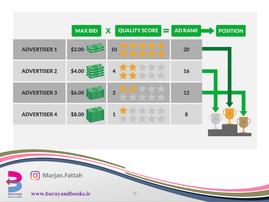| \$2.00<br>10<br>20<br><b>ADVERTISER 1</b><br>\$4.00<br>$\overline{\mathbf{4}}$<br><b>ADVERTISER 2</b><br>16<br>\$6.00<br>12<br><b>ADVERTISER 3</b><br>$\overline{2}$ | <b>POSITION</b> |
|----------------------------------------------------------------------------------------------------------------------------------------------------------------------|-----------------|
|                                                                                                                                                                      |                 |
|                                                                                                                                                                      |                 |
|                                                                                                                                                                      |                 |
| \$8.00<br>8<br>$\mathbf{1}$<br><b>ADVERTISER 4</b>                                                                                                                   |                 |

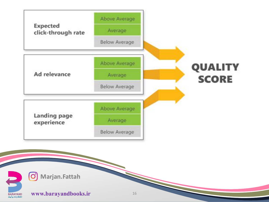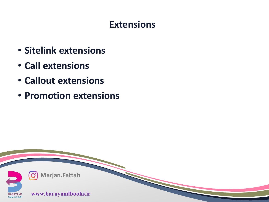# **Extensions**

- **Sitelink extensions**
- **Call extensions**
- **Callout extensions**
- **Promotion extensions**

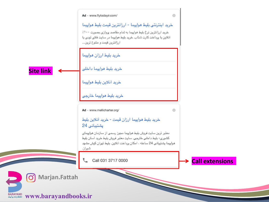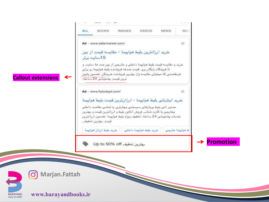



**Marjan.Fattah**

BARAYAND<br>انتشارات برآیند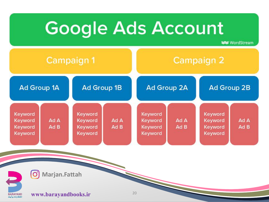

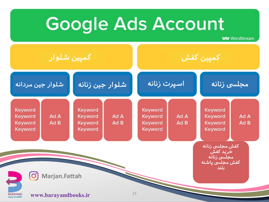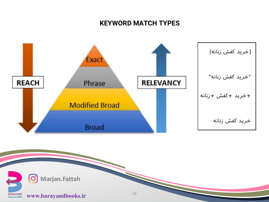### **KEYWORD MATCH TYPES**



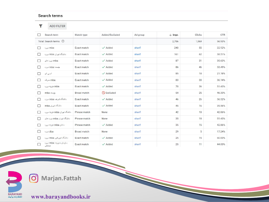#### Search terms

 $\overline{\mathbf{Y}}$ ADD FILTER

|   | Search term                    | Match type         | Added/Excluded      | Ad group | $\downarrow$ Impr. | Clicks | <b>CTR</b> |
|---|--------------------------------|--------------------|---------------------|----------|--------------------|--------|------------|
|   | Total: Search terms ©          |                    |                     |          | 2.756              | 1,569  | 56.93%     |
| ш | mba دوره                       | Exact match        | $\checkmark$ Added  | sharif   | 240                | 55     | 22.92%     |
| ы | دانشگاه تهران mba دوره         | Exact match        | $\checkmark$ Added  | sharif   | 161                | 62     | 38.51%     |
|   | mba دوره های                   | Exact match        | $\checkmark$ Added  | sharif   | 87                 | 31     | 35.63%     |
| m | جيست mba دوره                  | Exact match        | $\checkmark$ Added  | sharif   | 86                 | 46     | 53.49%     |
|   | ام بی ای                       | Exact match        | $\checkmark$ Added  | sharif   | 85                 | 18     | 21.18%     |
|   | mba مدرک                       | Exact match        | $\checkmark$ Added  | sharif   | 83                 | 30     | 36.14%     |
| Ш | mba هزينه دوره                 | Exact match        | $\checkmark$ Added  | sharif   | 70                 | 36     | 51.43%     |
| ы | mba                            | <b>Broad match</b> | $\bigcirc$ Excluded | sharif   | 54                 | 25     | 46.30%     |
| П | دانشگاه شریف mba دوره          | Exact match        | $\checkmark$ Added  | sharif   | 46                 | 26     | 56.52%     |
| П | دانشگاه تهران mba              | Exact match        | $\checkmark$ Added  | sharif   | 45                 | 16     | 35.56%     |
| П | دانشگاه تهران mba هزينه دوره   | Phrase match       | None                | sharif   | 42                 | 18     | 42.86%     |
| П | دانشگاه تهران mba دوره های     | Phrase match       | None                | sharif   | 35                 | 18     | 51.43%     |
|   | ماهان mba هزينه دوره           | Phrase match       | $\checkmark$ Added  | sharif   | 35                 | 15     | 42.86%     |
| M | dba دوره                       | <b>Broad match</b> | None                | sharif   | 29                 | 5      | 17.24%     |
|   | دانشگاه امیرکبیر mba دوره      | Exact match        | $\checkmark$ Added  | sharif   | 25                 | 15     | 60.00%     |
|   | سازمان مديريت mba دوره<br>منفذ | Exact match        | $\checkmark$ Added  | sharif   | 25                 | 11     | 44.00%     |



**Marjan.Fattah**  $\odot$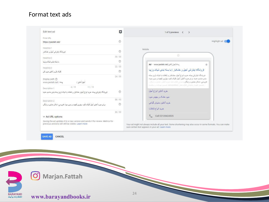#### Format text ads

| Edit text ad                                                                                                                          | $\overline{a}$ | 1 of 2 previews < >                                                                                                                                                                                                            |  |  |
|---------------------------------------------------------------------------------------------------------------------------------------|----------------|--------------------------------------------------------------------------------------------------------------------------------------------------------------------------------------------------------------------------------|--|--|
| Final URL                                                                                                                             |                |                                                                                                                                                                                                                                |  |  |
| https://pesteh.net/                                                                                                                   | $\circ$        | Highlight ad                                                                                                                                                                                                                   |  |  |
| Headline 1                                                                                                                            |                | Mobile                                                                                                                                                                                                                         |  |  |
| فروشگاه ابنترنشي أجيل و خشكبار                                                                                                        | $^{\circ}$     |                                                                                                                                                                                                                                |  |  |
| Headline 2                                                                                                                            | 30/30          |                                                                                                                                                                                                                                |  |  |
| با سنه بندی شبک وزیبا                                                                                                                 | $^{\circ}$     |                                                                                                                                                                                                                                |  |  |
| Headline 3                                                                                                                            | 22/30          | سَنَهُ/أَهِيلَ_أَنْاسَ) Ad · www.pesteh.net<br>ö                                                                                                                                                                               |  |  |
| كليك كل و أناتين خريد كن                                                                                                              | $^{\circ}$     | فروشگاه اینترنتی آجیل و خشکبار   با بسته بندی شیک وزیبا                                                                                                                                                                        |  |  |
| Display path 2<br>أجول أناتون /<br>www.pesteh.net / سنة                                                                               | 24/30          | فروشگاه اینٹرنٹی پسته، خرید انواع آجیل، خشکیار و تنتائث با شرک ترین بسته<br>بندی مناسب هدیه. برای خرید آنائین آجیل کلیک کنید، بیثرین کیتیت و بدون مواد<br>افزودني، امكان مشاوره والبكان بتشيتر 24ساعة، عرضا أناش مشاوره والكان |  |  |
| 4/15<br>11/15<br>Description 1                                                                                                        |                | رضيس كهيك بتشكر الإسعاد Amenities: بمسيح بيطنك راسائيك                                                                                                                                                                         |  |  |
| فروشگاه اینترنش پسته، عرید انواع آجیل، عشکیار و نتفاشت با شیک ترین بسته بندی مناسب هدیه                                               | $\circledcirc$ | خريد أنلاين انواع أجيل                                                                                                                                                                                                         |  |  |
|                                                                                                                                       |                | میوه خشک و جبیس میوه                                                                                                                                                                                                           |  |  |
| Description 2                                                                                                                         | 88/90          | خرید آنلاین نملوش گیاهی                                                                                                                                                                                                        |  |  |
| برای خرید آنهاین آجیل کلیک کنید، بهترین کیفیت و بدون مواد افزودنی، امکان مشاوره رایگان                                                | $\circledcirc$ | خريد اتواع تتقلات                                                                                                                                                                                                              |  |  |
|                                                                                                                                       | 86/90          |                                                                                                                                                                                                                                |  |  |
| $\vee$ Ad URL options                                                                                                                 |                | Call 02128424505<br>₹                                                                                                                                                                                                          |  |  |
| Saving the ad updates it to a new version and sends it for review. Metrics for<br>previous versions will still be visible. Learn more |                | Your ad might not always include all your text. Some shortening may also occur in some formats. You can make<br>sure certain text appears in your ad. Learn more                                                               |  |  |

SAVE AD CANCEL

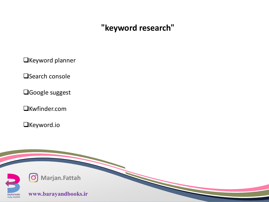## **"keyword research"**

**OKeyword planner** 

**O**Search console

Google suggest

Kwfinder.com

Keyword.io